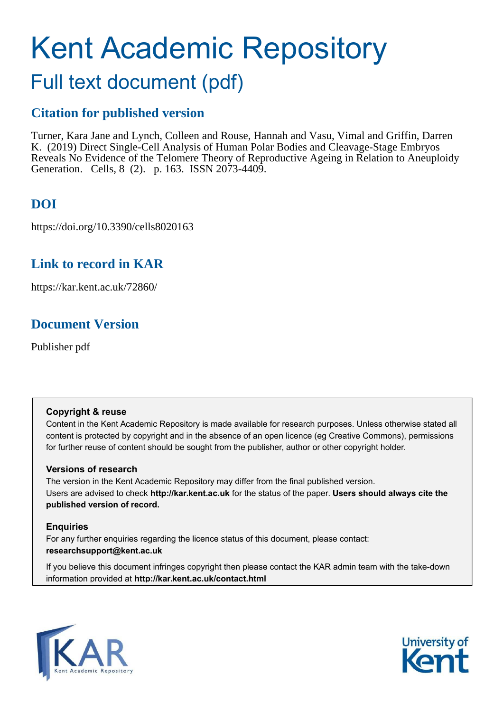# Kent Academic Repository

# Full text document (pdf)

# **Citation for published version**

Turner, Kara Jane and Lynch, Colleen and Rouse, Hannah and Vasu, Vimal and Griffin, Darren K. (2019) Direct Single-Cell Analysis of Human Polar Bodies and Cleavage-Stage Embryos Reveals No Evidence of the Telomere Theory of Reproductive Ageing in Relation to Aneuploidy Generation. Cells, 8 (2). p. 163. ISSN 2073-4409.

# **DOI**

https://doi.org/10.3390/cells8020163

# **Link to record in KAR**

https://kar.kent.ac.uk/72860/

# **Document Version**

Publisher pdf

#### **Copyright & reuse**

Content in the Kent Academic Repository is made available for research purposes. Unless otherwise stated all content is protected by copyright and in the absence of an open licence (eg Creative Commons), permissions for further reuse of content should be sought from the publisher, author or other copyright holder.

#### **Versions of research**

The version in the Kent Academic Repository may differ from the final published version. Users are advised to check **http://kar.kent.ac.uk** for the status of the paper. **Users should always cite the published version of record.**

#### **Enquiries**

For any further enquiries regarding the licence status of this document, please contact: **researchsupport@kent.ac.uk**

If you believe this document infringes copyright then please contact the KAR admin team with the take-down information provided at **http://kar.kent.ac.uk/contact.html**



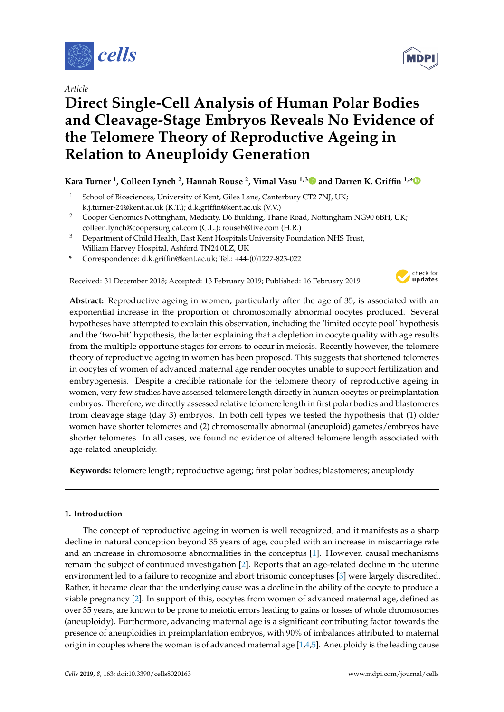

*Article*

# **Direct Single-Cell Analysis of Human Polar Bodies and Cleavage-Stage Embryos Reveals No Evidence of the Telomere Theory of Reproductive Ageing in Relation to Aneuploidy Generation**

#### **Kara Turner <sup>1</sup> , Colleen Lynch <sup>2</sup> , Hannah Rouse <sup>2</sup> , Vimal Vasu 1,[3](https://orcid.org/0000-0003-2606-9797) and Darren K. Griffin 1,[\\*](https://orcid.org/0000-0001-7595-3226)**

- <sup>1</sup> School of Biosciences, University of Kent, Giles Lane, Canterbury CT2 7NJ, UK; k.j.turner-24@kent.ac.uk (K.T.); d.k.griffin@kent.ac.uk (V.V.)
- <sup>2</sup> Cooper Genomics Nottingham, Medicity, D6 Building, Thane Road, Nottingham NG90 6BH, UK; colleen.lynch@coopersurgical.com (C.L.); rouseh@live.com (H.R.)
- <sup>3</sup> Department of Child Health, East Kent Hospitals University Foundation NHS Trust, William Harvey Hospital, Ashford TN24 0LZ, UK
- **\*** Correspondence: d.k.griffin@kent.ac.uk; Tel.: +44-(0)1227-823-022

Received: 31 December 2018; Accepted: 13 February 2019; Published: 16 February 2019



**Abstract:** Reproductive ageing in women, particularly after the age of 35, is associated with an exponential increase in the proportion of chromosomally abnormal oocytes produced. Several hypotheses have attempted to explain this observation, including the 'limited oocyte pool' hypothesis and the 'two-hit' hypothesis, the latter explaining that a depletion in oocyte quality with age results from the multiple opportune stages for errors to occur in meiosis. Recently however, the telomere theory of reproductive ageing in women has been proposed. This suggests that shortened telomeres in oocytes of women of advanced maternal age render oocytes unable to support fertilization and embryogenesis. Despite a credible rationale for the telomere theory of reproductive ageing in women, very few studies have assessed telomere length directly in human oocytes or preimplantation embryos. Therefore, we directly assessed relative telomere length in first polar bodies and blastomeres from cleavage stage (day 3) embryos. In both cell types we tested the hypothesis that (1) older women have shorter telomeres and (2) chromosomally abnormal (aneuploid) gametes/embryos have shorter telomeres. In all cases, we found no evidence of altered telomere length associated with age-related aneuploidy.

**Keywords:** telomere length; reproductive ageing; first polar bodies; blastomeres; aneuploidy

#### **1. Introduction**

The concept of reproductive ageing in women is well recognized, and it manifests as a sharp decline in natural conception beyond 35 years of age, coupled with an increase in miscarriage rate and an increase in chromosome abnormalities in the conceptus [\[1\]](#page-13-0). However, causal mechanisms remain the subject of continued investigation [\[2\]](#page-13-1). Reports that an age-related decline in the uterine environment led to a failure to recognize and abort trisomic conceptuses [\[3\]](#page-13-2) were largely discredited. Rather, it became clear that the underlying cause was a decline in the ability of the oocyte to produce a viable pregnancy [\[2\]](#page-13-1). In support of this, oocytes from women of advanced maternal age, defined as over 35 years, are known to be prone to meiotic errors leading to gains or losses of whole chromosomes (aneuploidy). Furthermore, advancing maternal age is a significant contributing factor towards the presence of aneuploidies in preimplantation embryos, with 90% of imbalances attributed to maternal origin in couples where the woman is of advanced maternal age  $[1,4,5]$  $[1,4,5]$  $[1,4,5]$ . Aneuploidy is the leading cause

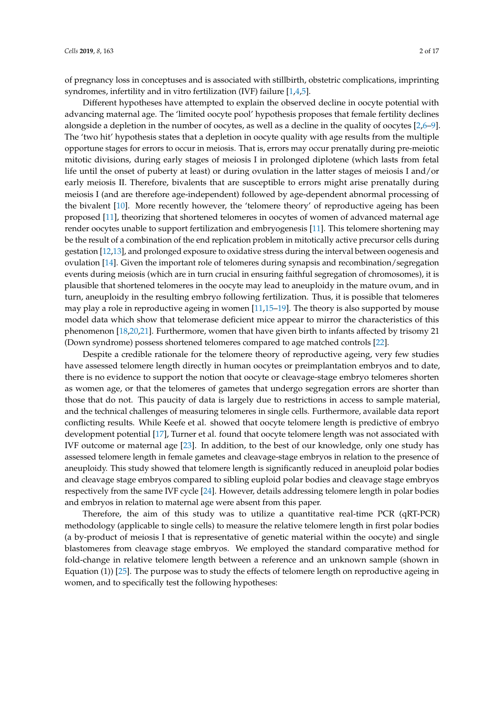of pregnancy loss in conceptuses and is associated with stillbirth, obstetric complications, imprinting syndromes, infertility and in vitro fertilization (IVF) failure [\[1,](#page-13-0)[4,](#page-13-3)[5\]](#page-13-4).

Different hypotheses have attempted to explain the observed decline in oocyte potential with advancing maternal age. The 'limited oocyte pool' hypothesis proposes that female fertility declines alongside a depletion in the number of oocytes, as well as a decline in the quality of oocytes [\[2,](#page-13-1)[6–](#page-13-5)[9\]](#page-13-6). The 'two hit' hypothesis states that a depletion in oocyte quality with age results from the multiple opportune stages for errors to occur in meiosis. That is, errors may occur prenatally during pre-meiotic mitotic divisions, during early stages of meiosis I in prolonged diplotene (which lasts from fetal life until the onset of puberty at least) or during ovulation in the latter stages of meiosis I and/or early meiosis II. Therefore, bivalents that are susceptible to errors might arise prenatally during meiosis I (and are therefore age-independent) followed by age-dependent abnormal processing of the bivalent [\[10\]](#page-13-7). More recently however, the 'telomere theory' of reproductive ageing has been proposed [\[11\]](#page-13-8), theorizing that shortened telomeres in oocytes of women of advanced maternal age render oocytes unable to support fertilization and embryogenesis [\[11\]](#page-13-8). This telomere shortening may be the result of a combination of the end replication problem in mitotically active precursor cells during gestation [\[12,](#page-13-9)[13\]](#page-13-10), and prolonged exposure to oxidative stress during the interval between oogenesis and ovulation [\[14\]](#page-13-11). Given the important role of telomeres during synapsis and recombination/segregation events during meiosis (which are in turn crucial in ensuring faithful segregation of chromosomes), it is plausible that shortened telomeres in the oocyte may lead to aneuploidy in the mature ovum, and in turn, aneuploidy in the resulting embryo following fertilization. Thus, it is possible that telomeres may play a role in reproductive ageing in women [\[11,](#page-13-8)[15](#page-14-0)[–19\]](#page-14-1). The theory is also supported by mouse model data which show that telomerase deficient mice appear to mirror the characteristics of this phenomenon [\[18](#page-14-2)[,20](#page-14-3)[,21\]](#page-14-4). Furthermore, women that have given birth to infants affected by trisomy 21 (Down syndrome) possess shortened telomeres compared to age matched controls [\[22\]](#page-14-5).

Despite a credible rationale for the telomere theory of reproductive ageing, very few studies have assessed telomere length directly in human oocytes or preimplantation embryos and to date, there is no evidence to support the notion that oocyte or cleavage-stage embryo telomeres shorten as women age, or that the telomeres of gametes that undergo segregation errors are shorter than those that do not. This paucity of data is largely due to restrictions in access to sample material, and the technical challenges of measuring telomeres in single cells. Furthermore, available data report conflicting results. While Keefe et al. showed that oocyte telomere length is predictive of embryo development potential [\[17\]](#page-14-6), Turner et al. found that oocyte telomere length was not associated with IVF outcome or maternal age [\[23\]](#page-14-7). In addition, to the best of our knowledge, only one study has assessed telomere length in female gametes and cleavage-stage embryos in relation to the presence of aneuploidy. This study showed that telomere length is significantly reduced in aneuploid polar bodies and cleavage stage embryos compared to sibling euploid polar bodies and cleavage stage embryos respectively from the same IVF cycle [\[24\]](#page-14-8). However, details addressing telomere length in polar bodies and embryos in relation to maternal age were absent from this paper.

Therefore, the aim of this study was to utilize a quantitative real-time PCR (qRT-PCR) methodology (applicable to single cells) to measure the relative telomere length in first polar bodies (a by-product of meiosis I that is representative of genetic material within the oocyte) and single blastomeres from cleavage stage embryos. We employed the standard comparative method for fold-change in relative telomere length between a reference and an unknown sample (shown in Equation (1)) [\[25\]](#page-14-9). The purpose was to study the effects of telomere length on reproductive ageing in women, and to specifically test the following hypotheses: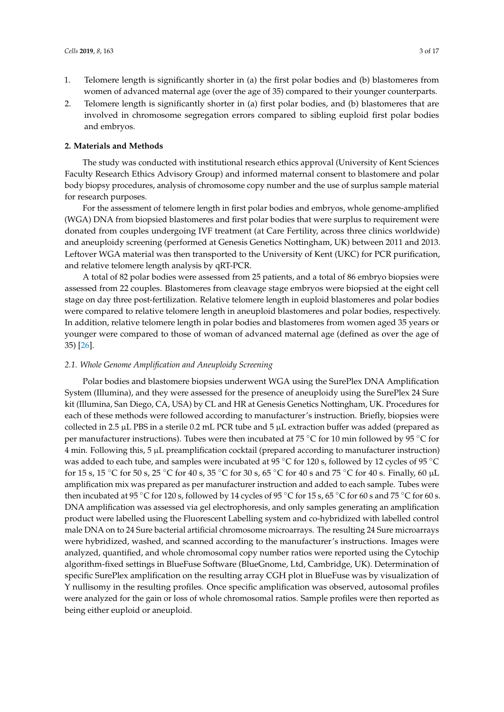- 1. Telomere length is significantly shorter in (a) the first polar bodies and (b) blastomeres from women of advanced maternal age (over the age of 35) compared to their younger counterparts.
- 2. Telomere length is significantly shorter in (a) first polar bodies, and (b) blastomeres that are involved in chromosome segregation errors compared to sibling euploid first polar bodies and embryos.

#### **2. Materials and Methods**

The study was conducted with institutional research ethics approval (University of Kent Sciences Faculty Research Ethics Advisory Group) and informed maternal consent to blastomere and polar body biopsy procedures, analysis of chromosome copy number and the use of surplus sample material for research purposes.

For the assessment of telomere length in first polar bodies and embryos, whole genome-amplified (WGA) DNA from biopsied blastomeres and first polar bodies that were surplus to requirement were donated from couples undergoing IVF treatment (at Care Fertility, across three clinics worldwide) and aneuploidy screening (performed at Genesis Genetics Nottingham, UK) between 2011 and 2013. Leftover WGA material was then transported to the University of Kent (UKC) for PCR purification, and relative telomere length analysis by qRT-PCR.

A total of 82 polar bodies were assessed from 25 patients, and a total of 86 embryo biopsies were assessed from 22 couples. Blastomeres from cleavage stage embryos were biopsied at the eight cell stage on day three post-fertilization. Relative telomere length in euploid blastomeres and polar bodies were compared to relative telomere length in aneuploid blastomeres and polar bodies, respectively. In addition, relative telomere length in polar bodies and blastomeres from women aged 35 years or younger were compared to those of woman of advanced maternal age (defined as over the age of 35) [\[26\]](#page-14-10).

#### <span id="page-3-0"></span>*2.1. Whole Genome Amplification and Aneuploidy Screening*

Polar bodies and blastomere biopsies underwent WGA using the SurePlex DNA Amplification System (Illumina), and they were assessed for the presence of aneuploidy using the SurePlex 24 Sure kit (Illumina, San Diego, CA, USA) by CL and HR at Genesis Genetics Nottingham, UK. Procedures for each of these methods were followed according to manufacturer's instruction. Briefly, biopsies were collected in 2.5 µL PBS in a sterile 0.2 mL PCR tube and 5 µL extraction buffer was added (prepared as per manufacturer instructions). Tubes were then incubated at 75 °C for 10 min followed by 95 °C for 4 min. Following this, 5 µL preamplification cocktail (prepared according to manufacturer instruction) was added to each tube, and samples were incubated at 95 ◦C for 120 s, followed by 12 cycles of 95 ◦C for 15 s, 15 ◦C for 50 s, 25 ◦C for 40 s, 35 ◦C for 30 s, 65 ◦C for 40 s and 75 ◦C for 40 s. Finally, 60 µL amplification mix was prepared as per manufacturer instruction and added to each sample. Tubes were then incubated at 95 °C for 120 s, followed by 14 cycles of 95 °C for 15 s, 65 °C for 60 s and 75 °C for 60 s. DNA amplification was assessed via gel electrophoresis, and only samples generating an amplification product were labelled using the Fluorescent Labelling system and co-hybridized with labelled control male DNA on to 24 Sure bacterial artificial chromosome microarrays. The resulting 24 Sure microarrays were hybridized, washed, and scanned according to the manufacturer's instructions. Images were analyzed, quantified, and whole chromosomal copy number ratios were reported using the Cytochip algorithm-fixed settings in BlueFuse Software (BlueGnome, Ltd, Cambridge, UK). Determination of specific SurePlex amplification on the resulting array CGH plot in BlueFuse was by visualization of Y nullisomy in the resulting profiles. Once specific amplification was observed, autosomal profiles were analyzed for the gain or loss of whole chromosomal ratios. Sample profiles were then reported as being either euploid or aneuploid.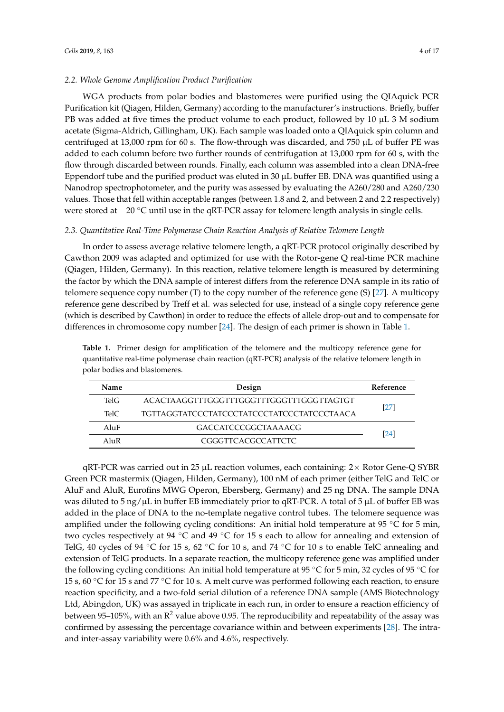WGA products from polar bodies and blastomeres were purified using the QIAquick PCR Purification kit (Qiagen, Hilden, Germany) according to the manufacturer's instructions. Briefly, buffer PB was added at five times the product volume to each product, followed by 10  $\mu$ L 3 M sodium acetate (Sigma-Aldrich, Gillingham, UK). Each sample was loaded onto a QIAquick spin column and centrifuged at 13,000 rpm for 60 s. The flow-through was discarded, and 750  $\mu$ L of buffer PE was added to each column before two further rounds of centrifugation at 13,000 rpm for 60 s, with the flow through discarded between rounds. Finally, each column was assembled into a clean DNA-free Eppendorf tube and the purified product was eluted in 30  $\mu$ L buffer EB. DNA was quantified using a Nanodrop spectrophotometer, and the purity was assessed by evaluating the A260/280 and A260/230 values. Those that fell within acceptable ranges (between 1.8 and 2, and between 2 and 2.2 respectively) were stored at −20 °C until use in the qRT-PCR assay for telomere length analysis in single cells.

#### *2.3. Quantitative Real-Time Polymerase Chain Reaction Analysis of Relative Telomere Length*

In order to assess average relative telomere length, a qRT-PCR protocol originally described by Cawthon 2009 was adapted and optimized for use with the Rotor-gene Q real-time PCR machine (Qiagen, Hilden, Germany). In this reaction, relative telomere length is measured by determining the factor by which the DNA sample of interest differs from the reference DNA sample in its ratio of telomere sequence copy number (T) to the copy number of the reference gene (S) [\[27\]](#page-14-11). A multicopy reference gene described by Treff et al. was selected for use, instead of a single copy reference gene (which is described by Cawthon) in order to reduce the effects of allele drop-out and to compensate for differences in chromosome copy number [\[24\]](#page-14-8). The design of each primer is shown in Table [1.](#page-3-0)

| <b>Name</b>        | Design                                     | Reference |
|--------------------|--------------------------------------------|-----------|
| TelG.              | ACACTAAGGTTTGGGTTTGGGTTTGGGTTTGGGTTAGTGT   | [27]      |
| TelC               | TGTTAGGTATCCCTATCCCTATCCCTATCCCTATCCCTAACA |           |
| AluF               | <b>GACCATCCCGGCTAAAACG</b>                 | [24]      |
| Al <sub>11</sub> R | <b>CGGGTTCACGCCATTCTC</b>                  |           |

**Table 1.** Primer design for amplification of the telomere and the multicopy reference gene for quantitative real-time polymerase chain reaction (qRT-PCR) analysis of the relative telomere length in polar bodies and blastomeres.

 $qRT-PCR$  was carried out in 25  $\mu$ L reaction volumes, each containing:  $2\times$  Rotor Gene-Q SYBR Green PCR mastermix (Qiagen, Hilden, Germany), 100 nM of each primer (either TelG and TelC or AluF and AluR, Eurofins MWG Operon, Ebersberg, Germany) and 25 ng DNA. The sample DNA was diluted to 5 ng/ $\mu$ L in buffer EB immediately prior to qRT-PCR. A total of 5  $\mu$ L of buffer EB was added in the place of DNA to the no-template negative control tubes. The telomere sequence was amplified under the following cycling conditions: An initial hold temperature at 95 °C for 5 min, two cycles respectively at 94 ◦C and 49 ◦C for 15 s each to allow for annealing and extension of TelG, 40 cycles of 94 °C for 15 s, 62 °C for 10 s, and 74 °C for 10 s to enable TelC annealing and extension of TelG products. In a separate reaction, the multicopy reference gene was amplified under the following cycling conditions: An initial hold temperature at 95 °C for 5 min, 32 cycles of 95 °C for 15 s, 60 ◦C for 15 s and 77 ◦C for 10 s. A melt curve was performed following each reaction, to ensure reaction specificity, and a two-fold serial dilution of a reference DNA sample (AMS Biotechnology Ltd, Abingdon, UK) was assayed in triplicate in each run, in order to ensure a reaction efficiency of between 95–105%, with an  $\mathbb{R}^2$  value above 0.95. The reproducibility and repeatability of the assay was confirmed by assessing the percentage covariance within and between experiments [\[28\]](#page-14-12). The intraand inter-assay variability were 0.6% and 4.6%, respectively.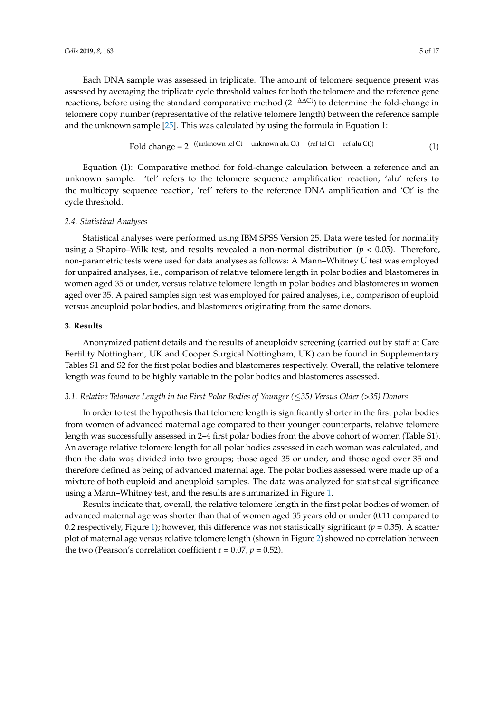Fold change = 
$$
2^{-((unknown tel Ct - unknown alu Ct) - (ref tel Ct - ref alu Ct))}
$$
 (1)

<span id="page-5-0"></span>Equation (1): Comparative method for fold-change calculation between a reference and an unknown sample. 'tel' refers to the telomere sequence amplification reaction, 'alu' refers to the multicopy sequence reaction, 'ref' refers to the reference DNA amplification and 'Ct' is the cycle threshold.

#### *2.4. Statistical Analyses*

Statistical analyses were performed using IBM SPSS Version 25. Data were tested for normality using a Shapiro–Wilk test, and results revealed a non-normal distribution  $(p < 0.05)$ . Therefore, non-parametric tests were used for data analyses as follows: A Mann–Whitney U test was employed for unpaired analyses, i.e., comparison of relative telomere length in polar bodies and blastomeres in women aged 35 or under, versus relative telomere length in polar bodies and blastomeres in women aged over 35. A paired samples sign test was employed for paired analyses, i.e., comparison of euploid versus aneuploid polar bodies, and blastomeres originating from the same donors.

#### **3. Results**

<span id="page-5-1"></span>Anonymized patient details and the results of aneuploidy screening (carried out by staff at Care Fertility Nottingham, UK and Cooper Surgical Nottingham, UK) can be found in Supplementary Tables S1 and S2 for the first polar bodies and blastomeres respectively. Overall, the relative telomere length was found to be highly variable in the polar bodies and blastomeres assessed.

#### *3.1. Relative Telomere Length in the First Polar Bodies of Younger (*≤*35) Versus Older (>35) Donors*

In order to test the hypothesis that telomere length is significantly shorter in the first polar bodies from women of advanced maternal age compared to their younger counterparts, relative telomere length was successfully assessed in 2–4 first polar bodies from the above cohort of women (Table S1). An average relative telomere length for all polar bodies assessed in each woman was calculated, and then the data was divided into two groups; those aged 35 or under, and those aged over 35 and therefore defined as being of advanced maternal age. The polar bodies assessed were made up of a mixture of both euploid and aneuploid samples. The data was analyzed for statistical significance using a Mann–Whitney test, and the results are summarized in Figure [1.](#page-5-0)

Results indicate that, overall, the relative telomere length in the first polar bodies of women of advanced maternal age was shorter than that of women aged 35 years old or under (0.11 compared to 0.2 respectively, Figure [1\)](#page-5-0); however, this difference was not statistically significant ( $p = 0.35$ ). A scatter plot of maternal age versus relative telomere length (shown in Figure [2\)](#page-5-1) showed no correlation between the two (Pearson's correlation coefficient  $r = 0.07$ ,  $p = 0.52$ ).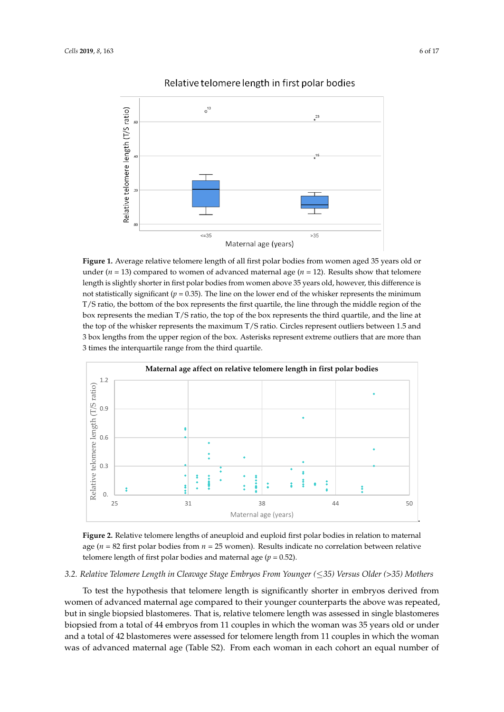<span id="page-6-0"></span>

#### Relative telomere length in first polar bodies

**Figure 1.** Average relative telomere length of all first polar bodies from women aged 35 years old or under ( $n = 13$ ) compared to women of advanced maternal age ( $n = 12$ ). Results show that telomere length is slightly shorter in first polar bodies from women above 35 years old, however, this difference is not statistically significant ( $p = 0.35$ ). The line on the lower end of the whisker represents the minimum T/S ratio, the bottom of the box represents the first quartile, the line through the middle region of the box represents the median T/S ratio, the top of the box represents the third quartile, and the line at the top of the whisker represents the maximum T/S ratio. Circles represent outliers between 1.5 and 3 box lengths from the upper region of the box. Asterisks represent extreme outliers that are more than 3 times the interquartile range from the third quartile.



**Figure 2.** Relative telomere lengths of aneuploid and euploid first polar bodies in relation to maternal **Figure 2.** Relative telomere lengths of aneuploid and euploid first polar bodies in relation to maternal age ( $n = 82$  first polar bodies from  $n = 25$  women). Results indicate no correlation between relative telomere length of first polar bodies and maternal age  $(p = 0.52)$ .

### *(≤ 3.2. Relative Telomere Length in Cleavage Stage Embryos From Younger (*≤*35) Versus Older (>35) Mothers*

was of advanced maternal age (Table S2). From each woman in each cohort an equal number of To test the hypothesis that telomere length is significantly shorter in embryos derived from women of advanced maternal age compared to their younger counterparts the above was repeated, but in single biopsied blastomeres. That is, relative telomere length was assessed in single blastomeres biopsied from a total of 44 embryos from 11 couples in which the woman was 35 years old or under and a total of 42 blastomeres were assessed for telomere length from 11 couples in which the woman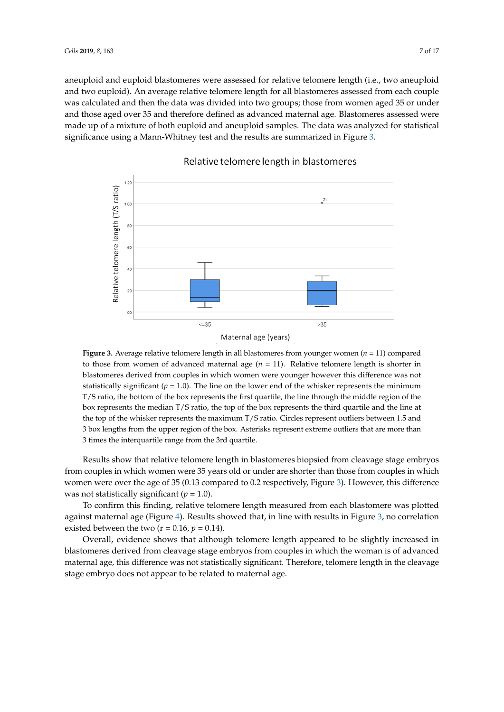<span id="page-7-0"></span>aneuploid and euploid blastomeres were assessed for relative telomere length (i.e., two aneuploid and two euploid). An average relative telomere length for all blastomeres assessed from each couple was calculated and then the data was divided into two groups; those from women aged 35 or under and those aged over 35 and therefore defined as advanced maternal age. Blastomeres assessed were made up of a mixture of both euploid and aneuploid samples. The data was analyzed for statistical significance using a Mann-Whitney test and the results are summarized in Figure [3.](#page-6-0)



#### Relative telomere length in blastomeres

<span id="page-7-1"></span>**Figure 3.** Average relative telomere length in all blastomeres from younger women  $(n = 11)$  compared to those from women of advanced maternal age  $(n = 11)$ . Relative telomere length is shorter in blastomeres derived from couples in which women were younger however this difference was not statistically significant ( $p = 1.0$ ). The line on the lower end of the whisker represents the minimum T/S ratio, the bottom of the box represents the first quartile, the line through the middle region of the box represents the median T/S ratio, the top of the box represents the third quartile and the line at the top of the whisker represents the maximum T/S ratio. Circles represent outliers between 1.5 and 3 box lengths from the upper region of the box. Asterisks represent extreme outliers that are more than 3 times the interquartile range from the 3rd quartile.

Results show that relative telomere length in blastomeres biopsied from cleavage stage embryos from couples in which women were 35 years old or under are shorter than those from couples in which women were over the age of 35 (0.13 compared to 0.2 respectively, Figure [3\)](#page-6-0). However, this difference was not statistically significant  $(p = 1.0)$ .

To confirm this finding, relative telomere length measured from each blastomere was plotted against maternal age (Figure [4\)](#page-7-0). Results showed that, in line with results in Figure [3,](#page-6-0) no correlation existed between the two  $(r = 0.16, p = 0.14)$ .

Overall, evidence shows that although telomere length appeared to be slightly increased in blastomeres derived from cleavage stage embryos from couples in which the woman is of advanced maternal age, this difference was not statistically significant. Therefore, telomere length in the cleavage stage embryo does not appear to be related to maternal age.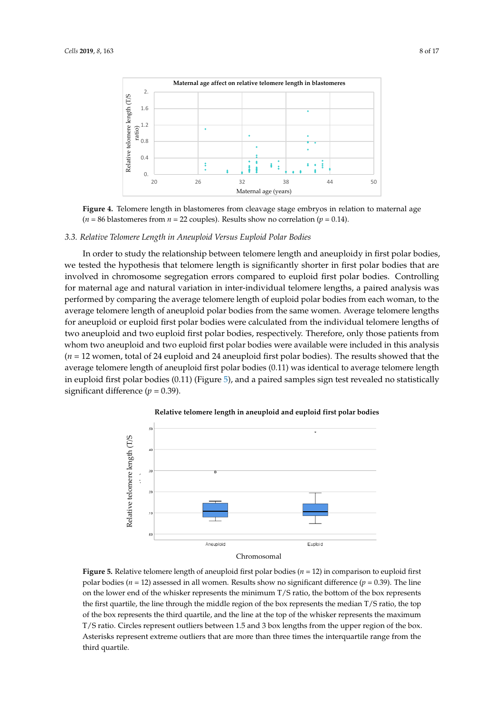![](_page_8_Figure_1.jpeg)

<span id="page-8-0"></span>**Figure 4.** Telomere length in blastomeres from cleavage stage embryos in relation to maternal age (*n* **Figure 4.** Telomere length in blastomeres from cleavage stage embryos in relation to maternal age  $(n = 86$  blastomeres from  $n = 22$  couples). Results show no correlation  $(p = 0.14)$ .

#### *3.3. Relative Telomere Length in Aneuploid Versus Euploid Polar Bodies*

In order to study the relationship between telomere length and aneuploidy in first polar bodies, we tested the hypothesis that telomere length is significantly shorter in first polar bodies that are involved in chromosome segregation errors compared to euploid first polar bodies. Controlling for maternal age and natural variation in inter-individual telomere lengths, a paired analysis was performed by comparing the average telomere length of euploid polar bodies from each woman, to the average telomere length of aneuploid polar bodies from the same women. Average telomere lengths for aneuploid or euploid first polar bodies were calculated from the individual telomere lengths of two aneuploid and two euploid first polar bodies, respectively. Therefore, only those patients from whom two aneuploid and two euploid first polar bodies were available were included in this analysis (*n* = 12 women, total of 24 euploid and 24 aneuploid first polar bodies). The results showed that the average telomere length of aneuploid first polar bodies (0.11) was identical to average telomere length in euploid first polar bodies (0.11) (Figure [5\)](#page-7-1), and a paired samples sign test revealed no statistically significant difference  $(p = 0.39)$ .

![](_page_8_Figure_5.jpeg)

#### **Relative telomere length in aneuploid and euploid first polar bodies**

**Figure 5.** Relative telomere length of aneuploid first polar bodies ( $n = 12$ ) in comparison to euploid first polar bodies ( $n = 12$ ) assessed in all women. Results show no significant difference ( $p = 0.39$ ). The line on the lower end of the whisker represents the minimum T/S ratio, the bottom of the box represents the first quartile, the line through the middle region of the box represents the median T/S ratio, the top of the box represents the third quartile, and the line at the top of the whisker represents the maximum T/S ratio. Circles represent outliers between 1.5 and 3 box lengths from the upper region of the box. Asterisks represent extreme outliers that are more than three times the interquartile range from the third quartile.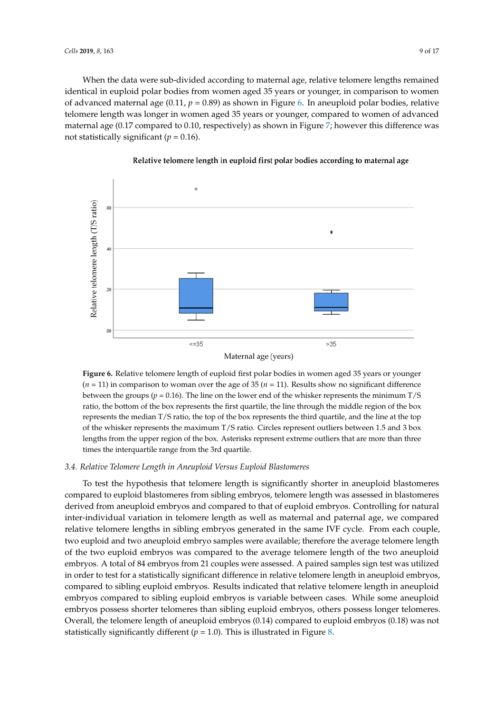<span id="page-9-0"></span>When the data were sub-divided according to maternal age, relative telomere lengths remained identical in euploid polar bodies from women aged 35 years or younger, in comparison to women of advanced maternal age (0.11, *p* = 0.89) as shown in Figure [6.](#page-8-0) In aneuploid polar bodies, relative telomere length was longer in women aged 35 years or younger, compared to women of advanced maternal age (0.17 compared to 0.10, respectively) as shown in Figure [7;](#page-9-0) however this difference was not statistically significant ( $p = 0.16$ ).

![](_page_9_Figure_2.jpeg)

#### Relative telomere length in euploid first polar bodies according to maternal age

<span id="page-9-1"></span>**Figure 6.** Relative telomere length of euploid first polar bodies in women aged 35 years or younger  $(n = 11)$  in comparison to woman over the age of 35  $(n = 11)$ . Results show no significant difference between the groups (*p* = 0.16). The line on the lower end of the whisker represents the minimum T/S ratio, the bottom of the box represents the first quartile, the line through the middle region of the box represents the median T/S ratio, the top of the box represents the third quartile, and the line at the top of the whisker represents the maximum T/S ratio. Circles represent outliers between 1.5 and 3 box lengths from the upper region of the box. Asterisks represent extreme outliers that are more than three times the interquartile range from the 3rd quartile.

#### *3.4. Relative Telomere Length in Aneuploid Versus Euploid Blastomeres*

To test the hypothesis that telomere length is significantly shorter in aneuploid blastomeres compared to euploid blastomeres from sibling embryos, telomere length was assessed in blastomeres derived from aneuploid embryos and compared to that of euploid embryos. Controlling for natural inter-individual variation in telomere length as well as maternal and paternal age, we compared relative telomere lengths in sibling embryos generated in the same IVF cycle. From each couple, two euploid and two aneuploid embryo samples were available; therefore the average telomere length of the two euploid embryos was compared to the average telomere length of the two aneuploid embryos. A total of 84 embryos from 21 couples were assessed. A paired samples sign test was utilized in order to test for a statistically significant difference in relative telomere length in aneuploid embryos, compared to sibling euploid embryos. Results indicated that relative telomere length in aneuploid embryos compared to sibling euploid embryos is variable between cases. While some aneuploid embryos possess shorter telomeres than sibling euploid embryos, others possess longer telomeres. Overall, the telomere length of aneuploid embryos (0.14) compared to euploid embryos (0.18) was not statistically significantly different  $(p = 1.0)$ . This is illustrated in Figure [8.](#page-9-1)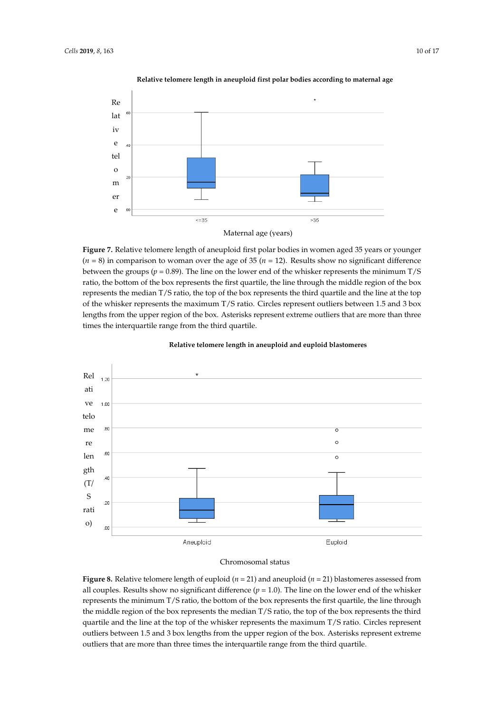![](_page_10_Figure_1.jpeg)

**Relative telomere length in aneuploid first polar bodies according to maternal age**

**Figure 7.** Relative telomere length of aneuploid first polar bodies in women aged 35 years or you **Figure 7.** Relative telomere length of aneuploid first polar bodies in women aged 35 years or younger  $(n = 8)$  in comparison to woman over the age of 35  $(n = 12)$ . Results show no significant difference between the groups ( $p = 0.89$ ). The line on the lower end of the whisker represents the minimum T/S ratio, the bottom of the box represents the first quartile, the line through the middle region of the box represents the median T/S ratio, the top of the box represents the third quartile and the line at the top of the whisker represents the maximum T/S ratio. Circles represent outliers between 1.5 and 3 box lengths from the upper region of the box. Asterisks represent extreme outliers that are more than three times the interquartile range from the third quartile.

#### **Relative telomere length in aneuploid and euploid blastomeres**

![](_page_10_Figure_5.jpeg)

#### Chromosomal status

Figure 8. Relative telomere length of euploid ( $n = 21$ ) and aneuploid ( $n = 21$ ) blastomeres assessed from all couples. Results show no significant difference  $(p = 1.0)$ . The line on the lower end of the whisker represents the minimum T/S ratio, the bottom of the box represents the first quartile, the line through the middle region of the box represents the median T/S ratio, the top of the box represents the third quartile and the line at the top of the whisker represents the maximum T/S ratio. Circles represent outliers between 1.5 and 3 box lengths from the upper region of the box. Asterisks represent extreme outliers that are more than three times the interquartile range from the third quartile.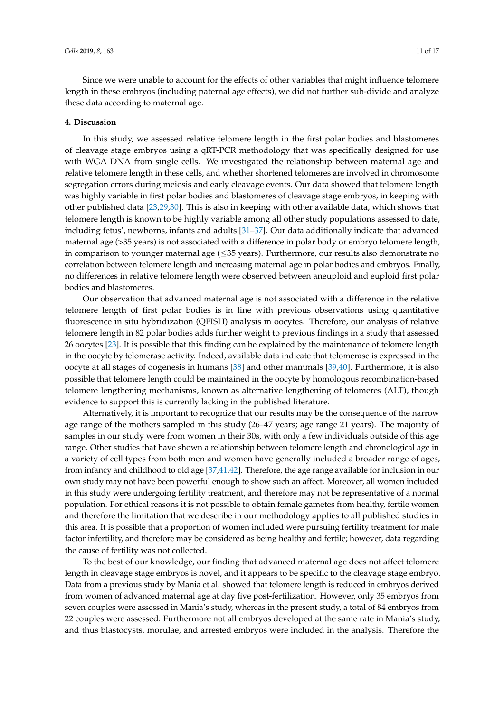Since we were unable to account for the effects of other variables that might influence telomere length in these embryos (including paternal age effects), we did not further sub-divide and analyze these data according to maternal age.

#### **4. Discussion**

In this study, we assessed relative telomere length in the first polar bodies and blastomeres of cleavage stage embryos using a qRT-PCR methodology that was specifically designed for use with WGA DNA from single cells. We investigated the relationship between maternal age and relative telomere length in these cells, and whether shortened telomeres are involved in chromosome segregation errors during meiosis and early cleavage events. Our data showed that telomere length was highly variable in first polar bodies and blastomeres of cleavage stage embryos, in keeping with other published data [\[23,](#page-14-7)[29](#page-14-13)[,30\]](#page-14-14). This is also in keeping with other available data, which shows that telomere length is known to be highly variable among all other study populations assessed to date, including fetus', newborns, infants and adults [\[31–](#page-14-15)[37\]](#page-14-16). Our data additionally indicate that advanced maternal age (>35 years) is not associated with a difference in polar body or embryo telomere length, in comparison to younger maternal age (≤35 years). Furthermore, our results also demonstrate no correlation between telomere length and increasing maternal age in polar bodies and embryos. Finally, no differences in relative telomere length were observed between aneuploid and euploid first polar bodies and blastomeres.

Our observation that advanced maternal age is not associated with a difference in the relative telomere length of first polar bodies is in line with previous observations using quantitative fluorescence in situ hybridization (QFISH) analysis in oocytes. Therefore, our analysis of relative telomere length in 82 polar bodies adds further weight to previous findings in a study that assessed 26 oocytes [\[23\]](#page-14-7). It is possible that this finding can be explained by the maintenance of telomere length in the oocyte by telomerase activity. Indeed, available data indicate that telomerase is expressed in the oocyte at all stages of oogenesis in humans [\[38\]](#page-14-17) and other mammals [\[39](#page-15-0)[,40\]](#page-15-1). Furthermore, it is also possible that telomere length could be maintained in the oocyte by homologous recombination-based telomere lengthening mechanisms, known as alternative lengthening of telomeres (ALT), though evidence to support this is currently lacking in the published literature.

Alternatively, it is important to recognize that our results may be the consequence of the narrow age range of the mothers sampled in this study (26–47 years; age range 21 years). The majority of samples in our study were from women in their 30s, with only a few individuals outside of this age range. Other studies that have shown a relationship between telomere length and chronological age in a variety of cell types from both men and women have generally included a broader range of ages, from infancy and childhood to old age [\[37,](#page-14-16)[41,](#page-15-2)[42\]](#page-15-3). Therefore, the age range available for inclusion in our own study may not have been powerful enough to show such an affect. Moreover, all women included in this study were undergoing fertility treatment, and therefore may not be representative of a normal population. For ethical reasons it is not possible to obtain female gametes from healthy, fertile women and therefore the limitation that we describe in our methodology applies to all published studies in this area. It is possible that a proportion of women included were pursuing fertility treatment for male factor infertility, and therefore may be considered as being healthy and fertile; however, data regarding the cause of fertility was not collected.

To the best of our knowledge, our finding that advanced maternal age does not affect telomere length in cleavage stage embryos is novel, and it appears to be specific to the cleavage stage embryo. Data from a previous study by Mania et al. showed that telomere length is reduced in embryos derived from women of advanced maternal age at day five post-fertilization. However, only 35 embryos from seven couples were assessed in Mania's study, whereas in the present study, a total of 84 embryos from 22 couples were assessed. Furthermore not all embryos developed at the same rate in Mania's study, and thus blastocysts, morulae, and arrested embryos were included in the analysis. Therefore the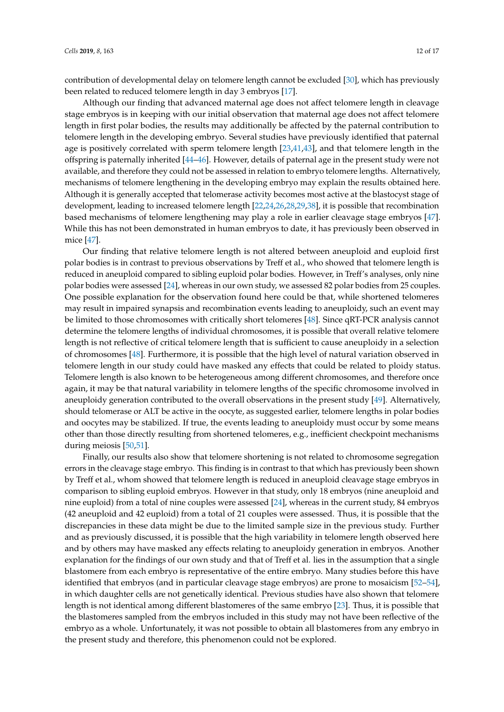contribution of developmental delay on telomere length cannot be excluded [\[30\]](#page-14-14), which has previously been related to reduced telomere length in day 3 embryos [\[17\]](#page-14-6).

Although our finding that advanced maternal age does not affect telomere length in cleavage stage embryos is in keeping with our initial observation that maternal age does not affect telomere length in first polar bodies, the results may additionally be affected by the paternal contribution to telomere length in the developing embryo. Several studies have previously identified that paternal age is positively correlated with sperm telomere length [\[23,](#page-14-7)[41,](#page-15-2)[43\]](#page-15-4), and that telomere length in the offspring is paternally inherited [\[44–](#page-15-5)[46\]](#page-15-6). However, details of paternal age in the present study were not available, and therefore they could not be assessed in relation to embryo telomere lengths. Alternatively, mechanisms of telomere lengthening in the developing embryo may explain the results obtained here. Although it is generally accepted that telomerase activity becomes most active at the blastocyst stage of development, leading to increased telomere length [\[22](#page-14-5)[,24](#page-14-8)[,26](#page-14-10)[,28,](#page-14-12)[29,](#page-14-13)[38\]](#page-14-17), it is possible that recombination based mechanisms of telomere lengthening may play a role in earlier cleavage stage embryos [\[47\]](#page-15-7). While this has not been demonstrated in human embryos to date, it has previously been observed in mice [\[47\]](#page-15-7).

Our finding that relative telomere length is not altered between aneuploid and euploid first polar bodies is in contrast to previous observations by Treff et al., who showed that telomere length is reduced in aneuploid compared to sibling euploid polar bodies. However, in Treff's analyses, only nine polar bodies were assessed [\[24\]](#page-14-8), whereas in our own study, we assessed 82 polar bodies from 25 couples. One possible explanation for the observation found here could be that, while shortened telomeres may result in impaired synapsis and recombination events leading to aneuploidy, such an event may be limited to those chromosomes with critically short telomeres [\[48\]](#page-15-8). Since qRT-PCR analysis cannot determine the telomere lengths of individual chromosomes, it is possible that overall relative telomere length is not reflective of critical telomere length that is sufficient to cause aneuploidy in a selection of chromosomes [\[48\]](#page-15-8). Furthermore, it is possible that the high level of natural variation observed in telomere length in our study could have masked any effects that could be related to ploidy status. Telomere length is also known to be heterogeneous among different chromosomes, and therefore once again, it may be that natural variability in telomere lengths of the specific chromosome involved in aneuploidy generation contributed to the overall observations in the present study [\[49\]](#page-15-9). Alternatively, should telomerase or ALT be active in the oocyte, as suggested earlier, telomere lengths in polar bodies and oocytes may be stabilized. If true, the events leading to aneuploidy must occur by some means other than those directly resulting from shortened telomeres, e.g., inefficient checkpoint mechanisms during meiosis [\[50](#page-15-10)[,51\]](#page-15-11).

Finally, our results also show that telomere shortening is not related to chromosome segregation errors in the cleavage stage embryo. This finding is in contrast to that which has previously been shown by Treff et al., whom showed that telomere length is reduced in aneuploid cleavage stage embryos in comparison to sibling euploid embryos. However in that study, only 18 embryos (nine aneuploid and nine euploid) from a total of nine couples were assessed [\[24\]](#page-14-8), whereas in the current study, 84 embryos (42 aneuploid and 42 euploid) from a total of 21 couples were assessed. Thus, it is possible that the discrepancies in these data might be due to the limited sample size in the previous study. Further and as previously discussed, it is possible that the high variability in telomere length observed here and by others may have masked any effects relating to aneuploidy generation in embryos. Another explanation for the findings of our own study and that of Treff et al. lies in the assumption that a single blastomere from each embryo is representative of the entire embryo. Many studies before this have identified that embryos (and in particular cleavage stage embryos) are prone to mosaicism [\[52](#page-15-12)[–54\]](#page-15-13), in which daughter cells are not genetically identical. Previous studies have also shown that telomere length is not identical among different blastomeres of the same embryo [\[23\]](#page-14-7). Thus, it is possible that the blastomeres sampled from the embryos included in this study may not have been reflective of the embryo as a whole. Unfortunately, it was not possible to obtain all blastomeres from any embryo in the present study and therefore, this phenomenon could not be explored.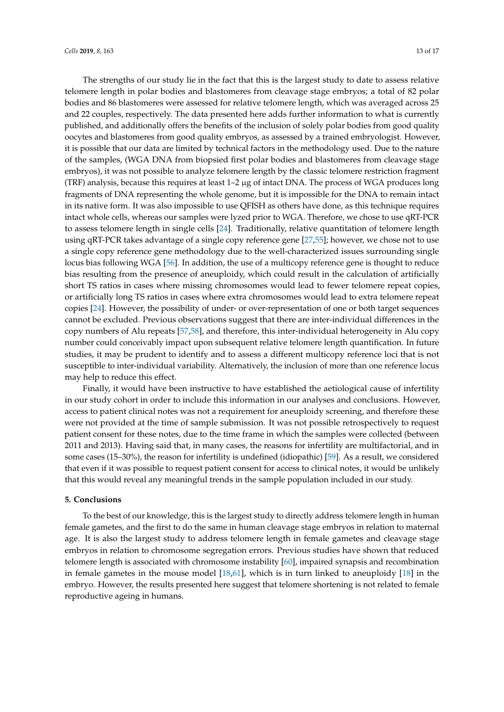The strengths of our study lie in the fact that this is the largest study to date to assess relative telomere length in polar bodies and blastomeres from cleavage stage embryos; a total of 82 polar bodies and 86 blastomeres were assessed for relative telomere length, which was averaged across 25 and 22 couples, respectively. The data presented here adds further information to what is currently published, and additionally offers the benefits of the inclusion of solely polar bodies from good quality oocytes and blastomeres from good quality embryos, as assessed by a trained embryologist. However, it is possible that our data are limited by technical factors in the methodology used. Due to the nature of the samples, (WGA DNA from biopsied first polar bodies and blastomeres from cleavage stage embryos), it was not possible to analyze telomere length by the classic telomere restriction fragment (TRF) analysis, because this requires at least 1–2 µg of intact DNA. The process of WGA produces long fragments of DNA representing the whole genome, but it is impossible for the DNA to remain intact in its native form. It was also impossible to use QFISH as others have done, as this technique requires intact whole cells, whereas our samples were lyzed prior to WGA. Therefore, we chose to use qRT-PCR to assess telomere length in single cells [\[24\]](#page-14-8). Traditionally, relative quantitation of telomere length using qRT-PCR takes advantage of a single copy reference gene [\[27,](#page-14-11)[55\]](#page-15-14); however, we chose not to use a single copy reference gene methodology due to the well-characterized issues surrounding single locus bias following WGA [\[56\]](#page-15-15). In addition, the use of a multicopy reference gene is thought to reduce bias resulting from the presence of aneuploidy, which could result in the calculation of artificially short TS ratios in cases where missing chromosomes would lead to fewer telomere repeat copies, or artificially long TS ratios in cases where extra chromosomes would lead to extra telomere repeat copies [\[24\]](#page-14-8). However, the possibility of under- or over-representation of one or both target sequences cannot be excluded. Previous observations suggest that there are inter-individual differences in the copy numbers of Alu repeats [\[57,](#page-15-16)[58\]](#page-15-17), and therefore, this inter-individual heterogeneity in Alu copy number could conceivably impact upon subsequent relative telomere length quantification. In future studies, it may be prudent to identify and to assess a different multicopy reference loci that is not susceptible to inter-individual variability. Alternatively, the inclusion of more than one reference locus may help to reduce this effect.

<span id="page-13-5"></span><span id="page-13-4"></span><span id="page-13-3"></span><span id="page-13-2"></span><span id="page-13-1"></span><span id="page-13-0"></span>Finally, it would have been instructive to have established the aetiological cause of infertility in our study cohort in order to include this information in our analyses and conclusions. However, access to patient clinical notes was not a requirement for aneuploidy screening, and therefore these were not provided at the time of sample submission. It was not possible retrospectively to request patient consent for these notes, due to the time frame in which the samples were collected (between 2011 and 2013). Having said that, in many cases, the reasons for infertility are multifactorial, and in some cases (15–30%), the reason for infertility is undefined (idiopathic) [\[59\]](#page-15-18). As a result, we considered that even if it was possible to request patient consent for access to clinical notes, it would be unlikely that this would reveal any meaningful trends in the sample population included in our study.

#### <span id="page-13-6"></span>**5. Conclusions**

<span id="page-13-11"></span><span id="page-13-10"></span><span id="page-13-9"></span><span id="page-13-8"></span><span id="page-13-7"></span>To the best of our knowledge, this is the largest study to directly address telomere length in human female gametes, and the first to do the same in human cleavage stage embryos in relation to maternal age. It is also the largest study to address telomere length in female gametes and cleavage stage embryos in relation to chromosome segregation errors. Previous studies have shown that reduced telomere length is associated with chromosome instability [\[60\]](#page-16-0), impaired synapsis and recombination in female gametes in the mouse model [\[18](#page-14-2)[,61\]](#page-16-1), which is in turn linked to aneuploidy [\[18\]](#page-14-2) in the embryo. However, the results presented here suggest that telomere shortening is not related to female reproductive ageing in humans.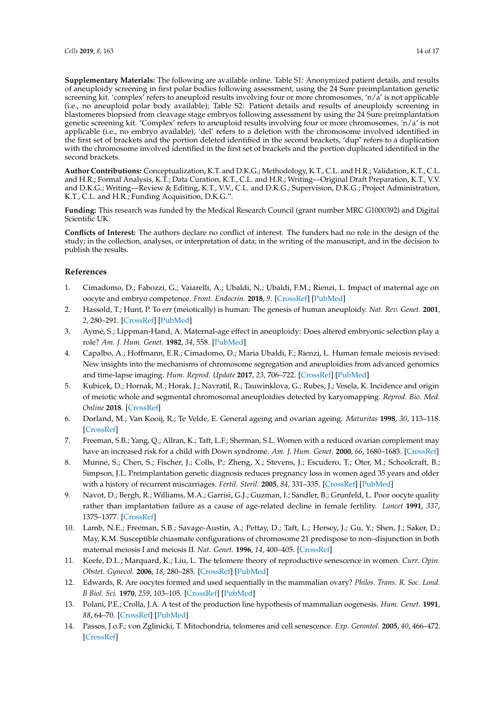<span id="page-14-6"></span><span id="page-14-0"></span>**Supplementary Materials:** The following are available online. Table S1: Anonymized patient details, and results of aneuploidy screening in first polar bodies following assessment, using the 24 Sure preimplantation genetic screening kit. 'complex' refers to aneuploid results involving four or more chromosomes, 'n/a' is not applicable (i.e., no aneuploid polar body available); Table S2: Patient details and results of aneuploidy screening in blastomeres biopsied from cleavage stage embryos following assessment by using the 24 Sure preimplantation genetic screening kit. 'Complex' refers to aneuploid results involving four or more chromosomes, 'n/a' is not applicable (i.e., no embryo available), 'del' refers to a deletion with the chromosome involved identified in the first set of brackets and the portion deleted identified in the second brackets, 'dup' refers to a duplication with the chromosome involved identified in the first set of brackets and the portion duplicated identified in the second brackets.

<span id="page-14-2"></span><span id="page-14-1"></span>**Author Contributions:** Conceptualization, K.T. and D.K.G.; Methodology, K.T., C.L. and H.R.; Validation, K.T., C.L. and H.R.; Formal Analysis, K.T.; Data Curation, K.T., C.L. and H.R.; Writing—Original Draft Preparation, K.T., V.V. and D.K.G.; Writing—Review & Editing, K.T., V.V., C.L. and D.K.G.; Supervision, D.K.G.; Project Administration, K.T., C.L. and H.R.; Funding Acquisition, D.K.G.".

<span id="page-14-4"></span><span id="page-14-3"></span>**Funding:** This research was funded by the Medical Research Council (grant number MRC G1000392) and Digital Scientific UK.

<span id="page-14-5"></span>**Conflicts of Interest:** The authors declare no conflict of interest. The funders had no role in the design of the study; in the collection, analyses, or interpretation of data; in the writing of the manuscript, and in the decision to publish the results.

#### <span id="page-14-7"></span>**References**

- <span id="page-14-8"></span>1. Cimadomo, D.; Fabozzi, G.; Vaiarelli, A.; Ubaldi, N.; Ubaldi, F.M.; Rienzi, L. Impact of maternal age on oocyte and embryo competence. *Front. Endocrin.* **2018**, *9*. [\[CrossRef\]](http://dx.doi.org/10.3389/fendo.2018.00327) [\[PubMed\]](http://www.ncbi.nlm.nih.gov/pubmed/30008696)
- <span id="page-14-9"></span>2. Hassold, T.; Hunt, P. To err (meiotically) is human: The genesis of human aneuploidy. *Nat. Rev. Genet.* **2001**, *2*, 280–291. [\[CrossRef\]](http://dx.doi.org/10.1038/35066065) [\[PubMed\]](http://www.ncbi.nlm.nih.gov/pubmed/11283700)
- <span id="page-14-10"></span>3. Aymé, S.; Lippman-Hand, A. Maternal-age effect in aneuploidy: Does altered embryonic selection play a role? *Am. J. Hum. Genet.* **1982**, *34*, 558. [\[PubMed\]](http://www.ncbi.nlm.nih.gov/pubmed/6213153)
- 4. Capalbo, A.; Hoffmann, E.R.; Cimadomo, D.; Maria Ubaldi, F.; Rienzi, L. Human female meiosis revised: New insights into the mechanisms of chromosome segregation and aneuploidies from advanced genomics and time-lapse imaging. *Hum. Reprod. Update* **2017**, *23*, 706–722. [\[CrossRef\]](http://dx.doi.org/10.1093/humupd/dmx026) [\[PubMed\]](http://www.ncbi.nlm.nih.gov/pubmed/28961822)
- <span id="page-14-12"></span><span id="page-14-11"></span>5. Kubicek, D.; Hornak, M.; Horak, J.; Navratil, R.; Tauwinklova, G.; Rubes, J.; Vesela, K. Incidence and origin of meiotic whole and segmental chromosomal aneuploidies detected by karyomapping. *Reprod. Bio. Med. Online* **2018**. [\[CrossRef\]](http://dx.doi.org/10.1016/j.rbmo.2018.11.023)
- <span id="page-14-13"></span>6. Dorland, M.; Van Kooij, R.; Te Velde, E. General ageing and ovarian ageing. *Maturitas* **1998**, *30*, 113–118. [\[CrossRef\]](http://dx.doi.org/10.1016/S0378-5122(98)00066-8)
- <span id="page-14-14"></span>7. Freeman, S.B.; Yang, Q.; Allran, K.; Taft, L.F.; Sherman, S.L. Women with a reduced ovarian complement may have an increased risk for a child with Down syndrome. *Am. J. Hum. Genet.* **2000**, *66*, 1680–1683. [\[CrossRef\]](http://dx.doi.org/10.1086/302907)
- <span id="page-14-15"></span>8. Munné, S.; Chen, S.; Fischer, J.; Colls, P.; Zheng, X.; Stevens, J.; Escudero, T.; Oter, M.; Schoolcraft, B.; Simpson, J.L. Preimplantation genetic diagnosis reduces pregnancy loss in women aged 35 years and older with a history of recurrent miscarriages. *Fertil. Steril.* **2005**, *84*, 331–335. [\[CrossRef\]](http://dx.doi.org/10.1016/j.fertnstert.2005.02.027) [\[PubMed\]](http://www.ncbi.nlm.nih.gov/pubmed/16084873)
- 9. Navot, D.; Bergh, R.; Williams, M.A.; Garrisi, G.J.; Guzman, I.; Sandler, B.; Grunfeld, L. Poor oocyte quality rather than implantation failure as a cause of age-related decline in female fertility. *Lancet* **1991**, *337*, 1375–1377. [\[CrossRef\]](http://dx.doi.org/10.1016/0140-6736(91)93060-M)
- 10. Lamb, N.E.; Freeman, S.B.; Savage-Austin, A.; Pettay, D.; Taft, L.; Hersey, J.; Gu, Y.; Shen, J.; Saker, D.; May, K.M. Susceptible chiasmate configurations of chromosome 21 predispose to non–disjunction in both maternal meiosis I and meiosis II. *Nat. Genet.* **1996**, *14*, 400–405. [\[CrossRef\]](http://dx.doi.org/10.1038/ng1296-400)
- 11. Keefe, D.L.; Marquard, K.; Liu, L. The telomere theory of reproductive senescence in women. *Curr. Opin. Obstet. Gynecol.* **2006**, *18*, 280–285. [\[CrossRef\]](http://dx.doi.org/10.1097/01.gco.0000193019.05686.49) [\[PubMed\]](http://www.ncbi.nlm.nih.gov/pubmed/16735827)
- 12. Edwards, R. Are oocytes formed and used sequentially in the mammalian ovary? *Philos. Trans. R. Soc. Lond. B Biol. Sci.* **1970**, *259*, 103–105. [\[CrossRef\]](http://dx.doi.org/10.1098/rstb.1970.0049) [\[PubMed\]](http://www.ncbi.nlm.nih.gov/pubmed/4399054)
- <span id="page-14-16"></span>13. Polani, P.E.; Crolla, J.A. A test of the production line hypothesis of mammalian oogenesis. *Hum. Genet.* **1991**, *88*, 64–70. [\[CrossRef\]](http://dx.doi.org/10.1007/BF00204931) [\[PubMed\]](http://www.ncbi.nlm.nih.gov/pubmed/1959927)
- <span id="page-14-17"></span>14. Passos, J.o.F.; von Zglinicki, T. Mitochondria, telomeres and cell senescence. *Exp. Gerontol.* **2005**, *40*, 466–472. [\[CrossRef\]](http://dx.doi.org/10.1016/j.exger.2005.04.006)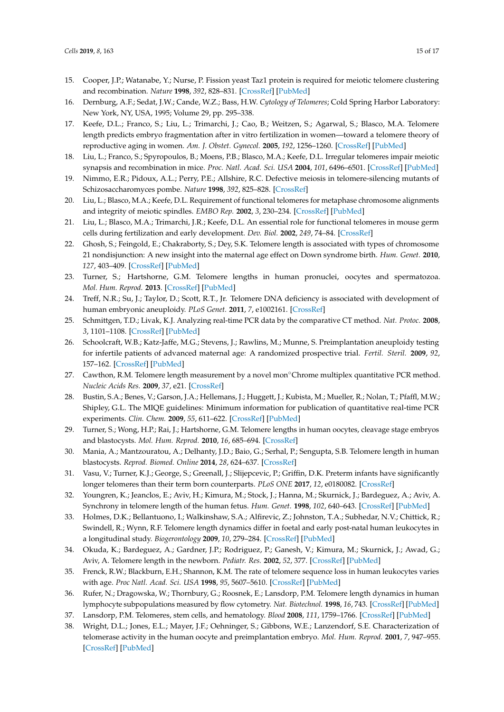- <span id="page-15-0"></span>15. Cooper, J.P.; Watanabe, Y.; Nurse, P. Fission yeast Taz1 protein is required for meiotic telomere clustering and recombination. *Nature* **1998**, *392*, 828–831. [\[CrossRef\]](http://dx.doi.org/10.1038/33947) [\[PubMed\]](http://www.ncbi.nlm.nih.gov/pubmed/9572143)
- <span id="page-15-1"></span>16. Dernburg, A.F.; Sedat, J.W.; Cande, W.Z.; Bass, H.W. *Cytology of Telomeres*; Cold Spring Harbor Laboratory: New York, NY, USA, 1995; Volume 29, pp. 295–338.
- <span id="page-15-2"></span>17. Keefe, D.L.; Franco, S.; Liu, L.; Trimarchi, J.; Cao, B.; Weitzen, S.; Agarwal, S.; Blasco, M.A. Telomere length predicts embryo fragmentation after in vitro fertilization in women—toward a telomere theory of reproductive aging in women. *Am. J. Obstet. Gynecol.* **2005**, *192*, 1256–1260. [\[CrossRef\]](http://dx.doi.org/10.1016/j.ajog.2005.01.036) [\[PubMed\]](http://www.ncbi.nlm.nih.gov/pubmed/15846215)
- <span id="page-15-3"></span>18. Liu, L.; Franco, S.; Spyropoulos, B.; Moens, P.B.; Blasco, M.A.; Keefe, D.L. Irregular telomeres impair meiotic synapsis and recombination in mice. *Proc. Natl. Acad. Sci. USA* **2004**, *101*, 6496–6501. [\[CrossRef\]](http://dx.doi.org/10.1073/pnas.0400755101) [\[PubMed\]](http://www.ncbi.nlm.nih.gov/pubmed/15084742)
- <span id="page-15-4"></span>19. Nimmo, E.R.; Pidoux, A.L.; Perry, P.E.; Allshire, R.C. Defective meiosis in telomere-silencing mutants of Schizosaccharomyces pombe. *Nature* **1998**, *392*, 825–828. [\[CrossRef\]](http://dx.doi.org/10.1038/33941)
- <span id="page-15-5"></span>20. Liu, L.; Blasco, M.A.; Keefe, D.L. Requirement of functional telomeres for metaphase chromosome alignments and integrity of meiotic spindles. *EMBO Rep.* **2002**, *3*, 230–234. [\[CrossRef\]](http://dx.doi.org/10.1093/embo-reports/kvf055) [\[PubMed\]](http://www.ncbi.nlm.nih.gov/pubmed/11882542)
- 21. Liu, L.; Blasco, M.A.; Trimarchi, J.R.; Keefe, D.L. An essential role for functional telomeres in mouse germ cells during fertilization and early development. *Dev. Biol.* **2002**, *249*, 74–84. [\[CrossRef\]](http://dx.doi.org/10.1006/dbio.2002.0735)
- 22. Ghosh, S.; Feingold, E.; Chakraborty, S.; Dey, S.K. Telomere length is associated with types of chromosome 21 nondisjunction: A new insight into the maternal age effect on Down syndrome birth. *Hum. Genet.* **2010**, *127*, 403–409. [\[CrossRef\]](http://dx.doi.org/10.1007/s00439-009-0785-8) [\[PubMed\]](http://www.ncbi.nlm.nih.gov/pubmed/20063167)
- <span id="page-15-7"></span><span id="page-15-6"></span>23. Turner, S.; Hartshorne, G.M. Telomere lengths in human pronuclei, oocytes and spermatozoa. *Mol. Hum. Reprod.* **2013**. [\[CrossRef\]](http://dx.doi.org/10.1093/molehr/gat021) [\[PubMed\]](http://www.ncbi.nlm.nih.gov/pubmed/23519357)
- <span id="page-15-8"></span>24. Treff, N.R.; Su, J.; Taylor, D.; Scott, R.T., Jr. Telomere DNA deficiency is associated with development of human embryonic aneuploidy. *PLoS Genet.* **2011**, *7*, e1002161. [\[CrossRef\]](http://dx.doi.org/10.1371/journal.pgen.1002161)
- <span id="page-15-9"></span>25. Schmittgen, T.D.; Livak, K.J. Analyzing real-time PCR data by the comparative CT method. *Nat. Protoc.* **2008**, *3*, 1101–1108. [\[CrossRef\]](http://dx.doi.org/10.1038/nprot.2008.73) [\[PubMed\]](http://www.ncbi.nlm.nih.gov/pubmed/18546601)
- 26. Schoolcraft, W.B.; Katz-Jaffe, M.G.; Stevens, J.; Rawlins, M.; Munne, S. Preimplantation aneuploidy testing for infertile patients of advanced maternal age: A randomized prospective trial. *Fertil. Steril.* **2009**, *92*, 157–162. [\[CrossRef\]](http://dx.doi.org/10.1016/j.fertnstert.2008.05.029) [\[PubMed\]](http://www.ncbi.nlm.nih.gov/pubmed/18692827)
- <span id="page-15-11"></span><span id="page-15-10"></span>27. Cawthon, R.M. Telomere length measurement by a novel mon°Chrome multiplex quantitative PCR method. *Nucleic Acids Res.* **2009**, *37*, e21. [\[CrossRef\]](http://dx.doi.org/10.1093/nar/gkn1027)
- <span id="page-15-12"></span>28. Bustin, S.A.; Benes, V.; Garson, J.A.; Hellemans, J.; Huggett, J.; Kubista, M.; Mueller, R.; Nolan, T.; Pfaffl, M.W.; Shipley, G.L. The MIQE guidelines: Minimum information for publication of quantitative real-time PCR experiments. *Clin. Chem.* **2009**, *55*, 611–622. [\[CrossRef\]](http://dx.doi.org/10.1373/clinchem.2008.112797) [\[PubMed\]](http://www.ncbi.nlm.nih.gov/pubmed/19246619)
- 29. Turner, S.; Wong, H.P.; Rai, J.; Hartshorne, G.M. Telomere lengths in human oocytes, cleavage stage embryos and blastocysts. *Mol. Hum. Reprod.* **2010**, *16*, 685–694. [\[CrossRef\]](http://dx.doi.org/10.1093/molehr/gaq048)
- <span id="page-15-13"></span>30. Mania, A.; Mantzouratou, A.; Delhanty, J.D.; Baio, G.; Serhal, P.; Sengupta, S.B. Telomere length in human blastocysts. *Reprod. Biomed. Online* **2014**, *28*, 624–637. [\[CrossRef\]](http://dx.doi.org/10.1016/j.rbmo.2013.12.010)
- 31. Vasu, V.; Turner, K.J.; George, S.; Greenall, J.; Slijepcevic, P.; Griffin, D.K. Preterm infants have significantly longer telomeres than their term born counterparts. *PLoS ONE* **2017**, *12*, e0180082. [\[CrossRef\]](http://dx.doi.org/10.1371/journal.pone.0180082)
- <span id="page-15-14"></span>32. Youngren, K.; Jeanclos, E.; Aviv, H.; Kimura, M.; Stock, J.; Hanna, M.; Skurnick, J.; Bardeguez, A.; Aviv, A. Synchrony in telomere length of the human fetus. *Hum. Genet.* **1998**, *102*, 640–643. [\[CrossRef\]](http://dx.doi.org/10.1007/s004390050755) [\[PubMed\]](http://www.ncbi.nlm.nih.gov/pubmed/9703424)
- <span id="page-15-15"></span>33. Holmes, D.K.; Bellantuono, I.; Walkinshaw, S.A.; Alfirevic, Z.; Johnston, T.A.; Subhedar, N.V.; Chittick, R.; Swindell, R.; Wynn, R.F. Telomere length dynamics differ in foetal and early post-natal human leukocytes in a longitudinal study. *Biogerontology* **2009**, *10*, 279–284. [\[CrossRef\]](http://dx.doi.org/10.1007/s10522-008-9194-y) [\[PubMed\]](http://www.ncbi.nlm.nih.gov/pubmed/18989747)
- <span id="page-15-16"></span>34. Okuda, K.; Bardeguez, A.; Gardner, J.P.; Rodriguez, P.; Ganesh, V.; Kimura, M.; Skurnick, J.; Awad, G.; Aviv, A. Telomere length in the newborn. *Pediatr. Res.* **2002**, *52*, 377. [\[CrossRef\]](http://dx.doi.org/10.1203/00006450-200209000-00012) [\[PubMed\]](http://www.ncbi.nlm.nih.gov/pubmed/12193671)
- <span id="page-15-17"></span>35. Frenck, R.W.; Blackburn, E.H.; Shannon, K.M. The rate of telomere sequence loss in human leukocytes varies with age. *Proc Natl. Acad. Sci. USA* **1998**, *95*, 5607–5610. [\[CrossRef\]](http://dx.doi.org/10.1073/pnas.95.10.5607) [\[PubMed\]](http://www.ncbi.nlm.nih.gov/pubmed/9576930)
- <span id="page-15-18"></span>36. Rufer, N.; Dragowska, W.; Thornbury, G.; Roosnek, E.; Lansdorp, P.M. Telomere length dynamics in human lymphocyte subpopulations measured by flow cytometry. *Nat. Biotechnol.* **1998**, *16*, 743. [\[CrossRef\]](http://dx.doi.org/10.1038/nbt0898-743) [\[PubMed\]](http://www.ncbi.nlm.nih.gov/pubmed/9702772)
- 37. Lansdorp, P.M. Telomeres, stem cells, and hematology. *Blood* **2008**, *111*, 1759–1766. [\[CrossRef\]](http://dx.doi.org/10.1182/blood-2007-09-084913) [\[PubMed\]](http://www.ncbi.nlm.nih.gov/pubmed/18263784)
- 38. Wright, D.L.; Jones, E.L.; Mayer, J.F.; Oehninger, S.; Gibbons, W.E.; Lanzendorf, S.E. Characterization of telomerase activity in the human oocyte and preimplantation embryo. *Mol. Hum. Reprod.* **2001**, *7*, 947–955. [\[CrossRef\]](http://dx.doi.org/10.1093/molehr/7.10.947) [\[PubMed\]](http://www.ncbi.nlm.nih.gov/pubmed/11574663)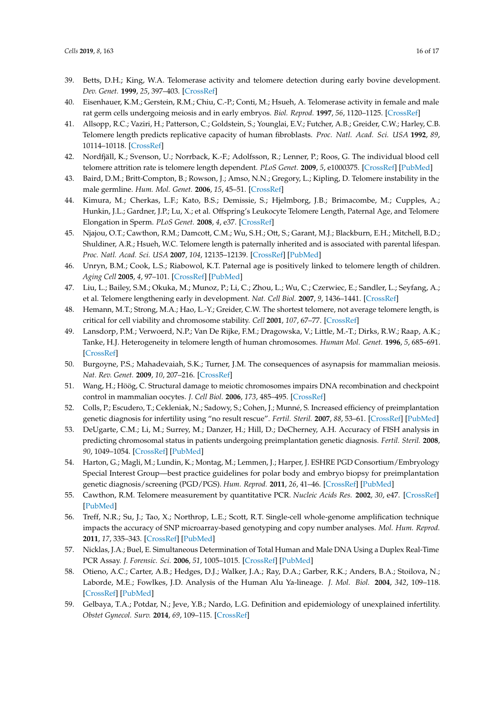- <span id="page-16-0"></span>39. Betts, D.H.; King, W.A. Telomerase activity and telomere detection during early bovine development. *Dev. Genet.* **1999**, *25*, 397–403. [\[CrossRef\]](http://dx.doi.org/10.1002/(SICI)1520-6408(1999)25:4<397::AID-DVG13>3.0.CO;2-J)
- <span id="page-16-1"></span>40. Eisenhauer, K.M.; Gerstein, R.M.; Chiu, C.-P.; Conti, M.; Hsueh, A. Telomerase activity in female and male rat germ cells undergoing meiosis and in early embryos. *Biol. Reprod.* **1997**, *56*, 1120–1125. [\[CrossRef\]](http://dx.doi.org/10.1095/biolreprod56.5.1120)
- 41. Allsopp, R.C.; Vaziri, H.; Patterson, C.; Goldstein, S.; Younglai, E.V.; Futcher, A.B.; Greider, C.W.; Harley, C.B. Telomere length predicts replicative capacity of human fibroblasts. *Proc. Natl. Acad. Sci. USA* **1992**, *89*, 10114–10118. [\[CrossRef\]](http://dx.doi.org/10.1073/pnas.89.21.10114)
- 42. Nordfjäll, K.; Svenson, U.; Norrback, K.-F.; Adolfsson, R.; Lenner, P.; Roos, G. The individual blood cell telomere attrition rate is telomere length dependent. *PLoS Genet.* **2009**, *5*, e1000375. [\[CrossRef\]](http://dx.doi.org/10.1371/journal.pgen.1000375) [\[PubMed\]](http://www.ncbi.nlm.nih.gov/pubmed/19214207)
- 43. Baird, D.M.; Britt-Compton, B.; Rowson, J.; Amso, N.N.; Gregory, L.; Kipling, D. Telomere instability in the male germline. *Hum. Mol. Genet.* **2006**, *15*, 45–51. [\[CrossRef\]](http://dx.doi.org/10.1093/hmg/ddi424)
- 44. Kimura, M.; Cherkas, L.F.; Kato, B.S.; Demissie, S.; Hjelmborg, J.B.; Brimacombe, M.; Cupples, A.; Hunkin, J.L.; Gardner, J.P.; Lu, X.; et al. Offspring's Leukocyte Telomere Length, Paternal Age, and Telomere Elongation in Sperm. *PLoS Genet.* **2008**, *4*, e37. [\[CrossRef\]](http://dx.doi.org/10.1371/journal.pgen.0040037)
- 45. Njajou, O.T.; Cawthon, R.M.; Damcott, C.M.; Wu, S.H.; Ott, S.; Garant, M.J.; Blackburn, E.H.; Mitchell, B.D.; Shuldiner, A.R.; Hsueh, W.C. Telomere length is paternally inherited and is associated with parental lifespan. *Proc. Natl. Acad. Sci. USA* **2007**, *104*, 12135–12139. [\[CrossRef\]](http://dx.doi.org/10.1073/pnas.0702703104) [\[PubMed\]](http://www.ncbi.nlm.nih.gov/pubmed/17623782)
- 46. Unryn, B.M.; Cook, L.S.; Riabowol, K.T. Paternal age is positively linked to telomere length of children. *Aging Cell* **2005**, *4*, 97–101. [\[CrossRef\]](http://dx.doi.org/10.1111/j.1474-9728.2005.00144.x) [\[PubMed\]](http://www.ncbi.nlm.nih.gov/pubmed/15771613)
- 47. Liu, L.; Bailey, S.M.; Okuka, M.; Munoz, P.; Li, C.; Zhou, L.; Wu, C.; Czerwiec, E.; Sandler, L.; Seyfang, A.; et al. Telomere lengthening early in development. *Nat. Cell Biol.* **2007**, *9*, 1436–1441. [\[CrossRef\]](http://dx.doi.org/10.1038/ncb1664)
- 48. Hemann, M.T.; Strong, M.A.; Hao, L.-Y.; Greider, C.W. The shortest telomere, not average telomere length, is critical for cell viability and chromosome stability. *Cell* **2001**, *107*, 67–77. [\[CrossRef\]](http://dx.doi.org/10.1016/S0092-8674(01)00504-9)
- 49. Lansdorp, P.M.; Verwoerd, N.P.; Van De Rijke, F.M.; Dragowska, V.; Little, M.-T.; Dirks, R.W.; Raap, A.K.; Tanke, H.J. Heterogeneity in telomere length of human chromosomes. *Human Mol. Genet.* **1996**, *5*, 685–691. [\[CrossRef\]](http://dx.doi.org/10.1093/hmg/5.5.685)
- 50. Burgoyne, P.S.; Mahadevaiah, S.K.; Turner, J.M. The consequences of asynapsis for mammalian meiosis. *Nat. Rev. Genet.* **2009**, *10*, 207–216. [\[CrossRef\]](http://dx.doi.org/10.1038/nrg2505)
- 51. Wang, H.; Höög, C. Structural damage to meiotic chromosomes impairs DNA recombination and checkpoint control in mammalian oocytes. *J. Cell Biol.* **2006**, *173*, 485–495. [\[CrossRef\]](http://dx.doi.org/10.1083/jcb.200512077)
- 52. Colls, P.; Escudero, T.; Cekleniak, N.; Sadowy, S.; Cohen, J.; Munné, S. Increased efficiency of preimplantation genetic diagnosis for infertility using "no result rescue". *Fertil. Steril.* **2007**, *88*, 53–61. [\[CrossRef\]](http://dx.doi.org/10.1016/j.fertnstert.2006.11.099) [\[PubMed\]](http://www.ncbi.nlm.nih.gov/pubmed/17296179)
- 53. DeUgarte, C.M.; Li, M.; Surrey, M.; Danzer, H.; Hill, D.; DeCherney, A.H. Accuracy of FISH analysis in predicting chromosomal status in patients undergoing preimplantation genetic diagnosis. *Fertil. Steril.* **2008**, *90*, 1049–1054. [\[CrossRef\]](http://dx.doi.org/10.1016/j.fertnstert.2007.07.1337) [\[PubMed\]](http://www.ncbi.nlm.nih.gov/pubmed/18359020)
- 54. Harton, G.; Magli, M.; Lundin, K.; Montag, M.; Lemmen, J.; Harper, J. ESHRE PGD Consortium/Embryology Special Interest Group—best practice guidelines for polar body and embryo biopsy for preimplantation genetic diagnosis/screening (PGD/PGS). *Hum. Reprod.* **2011**, *26*, 41–46. [\[CrossRef\]](http://dx.doi.org/10.1093/humrep/deq265) [\[PubMed\]](http://www.ncbi.nlm.nih.gov/pubmed/20966459)
- 55. Cawthon, R.M. Telomere measurement by quantitative PCR. *Nucleic Acids Res.* **2002**, *30*, e47. [\[CrossRef\]](http://dx.doi.org/10.1093/nar/30.10.e47) [\[PubMed\]](http://www.ncbi.nlm.nih.gov/pubmed/12000852)
- 56. Treff, N.R.; Su, J.; Tao, X.; Northrop, L.E.; Scott, R.T. Single-cell whole-genome amplification technique impacts the accuracy of SNP microarray-based genotyping and copy number analyses. *Mol. Hum. Reprod.* **2011**, *17*, 335–343. [\[CrossRef\]](http://dx.doi.org/10.1093/molehr/gaq103) [\[PubMed\]](http://www.ncbi.nlm.nih.gov/pubmed/21177337)
- 57. Nicklas, J.A.; Buel, E. Simultaneous Determination of Total Human and Male DNA Using a Duplex Real-Time PCR Assay. *J. Forensic. Sci.* **2006**, *51*, 1005–1015. [\[CrossRef\]](http://dx.doi.org/10.1111/j.1556-4029.2006.00211.x) [\[PubMed\]](http://www.ncbi.nlm.nih.gov/pubmed/17018077)
- 58. Otieno, A.C.; Carter, A.B.; Hedges, D.J.; Walker, J.A.; Ray, D.A.; Garber, R.K.; Anders, B.A.; Stoilova, N.; Laborde, M.E.; Fowlkes, J.D. Analysis of the Human Alu Ya-lineage. *J. Mol. Biol.* **2004**, *342*, 109–118. [\[CrossRef\]](http://dx.doi.org/10.1016/j.jmb.2004.07.016) [\[PubMed\]](http://www.ncbi.nlm.nih.gov/pubmed/15313610)
- 59. Gelbaya, T.A.; Potdar, N.; Jeve, Y.B.; Nardo, L.G. Definition and epidemiology of unexplained infertility. *Obstet Gynecol. Surv.* **2014**, *69*, 109–115. [\[CrossRef\]](http://dx.doi.org/10.1097/OGX.0000000000000043)